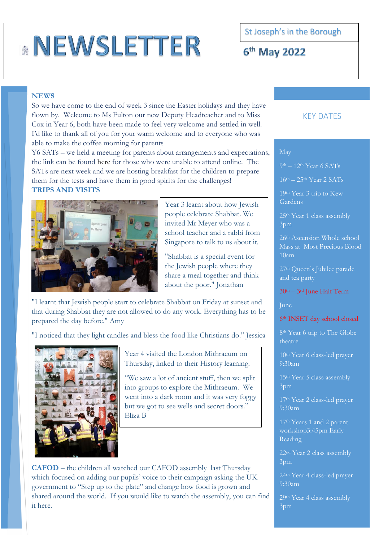# **NEWSLETTER**

St Joseph's in the Borough

6<sup>th</sup> May 2022

### **NEWS**

So we have come to the end of week 3 since the Easter holidays and they have flown by. Welcome to Ms Fulton our new Deputy Headteacher and to Miss Cox in Year 6, both have been made to feel very welcome and settled in well. I'd like to thank all of you for your warm welcome and to everyone who was able to make the coffee morning for parents

Y6 SATs – we held a meeting for parents about arrangements and expectations, the link can be found [here](file://///sjs-srv-01/moreilly_Home$/SUMMER%201%202022/SATS/Year%206%20Information%20Meeting.pptx) for those who were unable to attend online. The SATs are next week and we are hosting breakfast for the children to prepare them for the tests and have them in good spirits for the challenges! **TRIPS AND VISITS**



Year 3 learnt about how Jewish people celebrate Shabbat. We invited Mr Meyer who was a school teacher and a rabbi from Singapore to talk to us about it.

"Shabbat is a special event for the Jewish people where they share a meal together and think about the poor." Jonathan

"I learnt that Jewish people start to celebrate Shabbat on Friday at sunset and that during Shabbat they are not allowed to do any work. Everything has to be prepared the day before." Amy

"I noticed that they light candles and bless the food like Christians do." Jessica



Year 4 visited the London Mithraeum on Thursday, linked to their History learning.

"We saw a lot of ancient stuff, then we split into groups to explore the Mithraeum. We went into a dark room and it was very foggy but we got to see wells and secret doors." Eliza B

**CAFOD** – the children all watched our CAFOD assembly last Thursday which focused on adding our pupils' voice to their campaign asking the UK government to "Step up to the plate" and change how food is grown and shared around the world. If you would like to watch the assembly, you can find it [here.](https://cafod.org.uk/News/Events/National-assemblies?gclid=EAIaIQobChMI7vH6us209wIVrIBQBh1EiAlGEAAYASAAEgIcEvD_BwE)

## KEY DATES

#### May

9th – 12th Year 6 SATs

 $16<sup>th</sup> - 25<sup>th</sup>$  Year 2 SATs

19th Year 3 trip to Kew Gardens

25th Year 1 class assembly 3pm

26<sup>th</sup> Ascension Whole school Mass at Most Precious Blood 10am

27th Queen's Jubilee parade and tea party

#### $30<sup>th</sup> - 3<sup>rd</sup>$  June Half Term

June

#### 6th INSET day school closed

8th Year 6 trip to The Globe theatre

10th Year 6 class-led prayer 9:30am

15th Year 5 class assembly 3pm

17th Year 2 class-led prayer 9:30am

17th Years 1 and 2 parent workshop3:45pm Early Reading

22nd Year 2 class assembly 3pm

24th Year 4 class-led prayer 9:30am

29th Year 4 class assembly 3pm